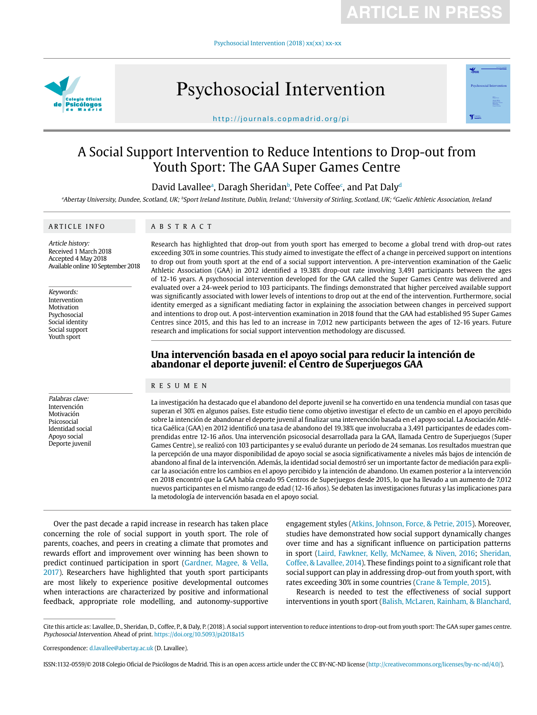Psychosocial Intervention (2018) xx(xx) xx-xx



# Psychosocial Intervention



http://journals.copmadrid.org/pi

## A Social Support Intervention to Reduce Intentions to Drop-out from Youth Sport: The GAA Super Games Centre

David Lavallee<sup>a</sup>, Daragh Sheridan<sup>b</sup>, Pete Coffee<sup>c</sup>, and Pat Daly<sup>d</sup>

Abertay University, Dundee, Scotland, UK; bSport Ireland Institute, Dublin, Ireland; University of Stirling, Scotland, UK; dGaelic Athletic Association, Ireland والمشام المستحدث

#### ARTICLE INFO

ABSTRACT

Article history: Received 1 March 2018 Accepted 4 May 2018 Available online 10 September 2018

Keywords: Intervention Motivation Psychosocial Social identity Social support Youth sport

Palabras clave: Intervención Motivación Psicosocial Identidad social Apoyo social Deporte juvenil

Research has highlighted that drop-out from youth sport has emerged to become a global trend with drop-out rates exceeding 30% in some countries. This study aimed to investigate the effect of a change in perceived support on intentions to drop out from youth sport at the end of a social support intervention. A pre-intervention examination of the Gaelic Athletic Association (GAA) in 2012 identified a 19.38% drop-out rate involving 3,491 participants between the ages of 12-16 years. A psychosocial intervention developed for the GAA called the Super Games Centre was delivered and evaluated over a 24-week period to 103 participants. The findings demonstrated that higher perceived available support was significantly associated with lower levels of intentions to drop out at the end of the intervention. Furthermore, social identity emerged as a significant mediating factor in explaining the association between changes in perceived support and intentions to drop out. A post-intervention examination in 2018 found that the GAA had established 95 Super Games Centres since 2015, and this has led to an increase in 7,012 new participants between the ages of 12-16 years. Future research and implications for social support intervention methodology are discussed.

### **Una intervención basada en el apoyo social para reducir la intención de abandonar el deporte juvenil: el Centro de Superjuegos GAA**

#### RESUMEN

La investigación ha destacado que el abandono del deporte juvenil se ha convertido en una tendencia mundial con tasas que superan el 30% en algunos países. Este estudio tiene como objetivo investigar el efecto de un cambio en el apoyo percibido sobre la intención de abandonar el deporte juvenil al finalizar una intervención basada en el apoyo social. La Asociación Atlética Gaélica (GAA) en 2012 identificó una tasa de abandono del 19.38% que involucraba a 3,491 participantes de edades comprendidas entre 12-16 años. Una intervención psicosocial desarrollada para la GAA, llamada Centro de Superjuegos (Super Games Centre), se realizó con 103 participantes y se evaluó durante un período de 24 semanas. Los resultados muestran que la percepción de una mayor disponibilidad de apoyo social se asocia significativamente a niveles más bajos de intención de abandono al final de la intervención. Además, la identidad social demostró ser un importante factor de mediación para explicar la asociación entre los cambios en el apoyo percibido y la intención de abandono. Un examen posterior a la intervención en 2018 encontró que la GAA había creado 95 Centros de Superjuegos desde 2015, lo que ha llevado a un aumento de 7,012 nuevos participantes en el mismo rango de edad (12-16 años). Se debaten las investigaciones futuras y las implicaciones para la metodología de intervención basada en el apoyo social.

Over the past decade a rapid increase in research has taken place concerning the role of social support in youth sport. The role of parents, coaches, and peers in creating a climate that promotes and rewards effort and improvement over winning has been shown to predict continued participation in sport ([Gardner, Magee, & Vella,](#page-5-0)  [2017\)](#page-5-0). Researchers have highlighted that youth sport participants are most likely to experience positive developmental outcomes when interactions are characterized by positive and informational feedback, appropriate role modelling, and autonomy-supportive

engagement styles [\(Atkins, Johnson, Force, & Petrie, 2015\)](#page-5-1). Moreover, studies have demonstrated how social support dynamically changes over time and has a significant influence on participation patterns in sport [\(Laird, Fawkner, Kelly, McNamee, & Niven, 2016;](#page-6-0) [Sheridan,](#page-6-1)  [Coffee, & Lavallee, 2014\)](#page-6-1). These findings point to a significant role that social support can play in addressing drop-out from youth sport, with rates exceeding 30% in some countries [\(Crane & Temple, 2015\)](#page-5-2).

Research is needed to test the effectiveness of social support interventions in youth sport [\(Balish, McLaren, Rainham, & Blanchard,](#page-5-3) 

Cite this article as: Lavallee, D., Sheridan, D., Coffee, P., & Daly, P. (2018). A social support intervention to reduce intentions to drop-out from youth sport: The GAA super games centre. Psychosocial Intervention. Ahead of print. https://doi.org/10.5093/pi2018a15

Correspondence: d.lavallee@abertay.ac.uk (D. Lavallee).

ISSN:1132-0559/© 2018 Colegio Oficial de Psicólogos de Madrid. This is an open access article under the CC BY-NC-ND license (http://creativecommons.org/licenses/by-nc-nd/4.0/).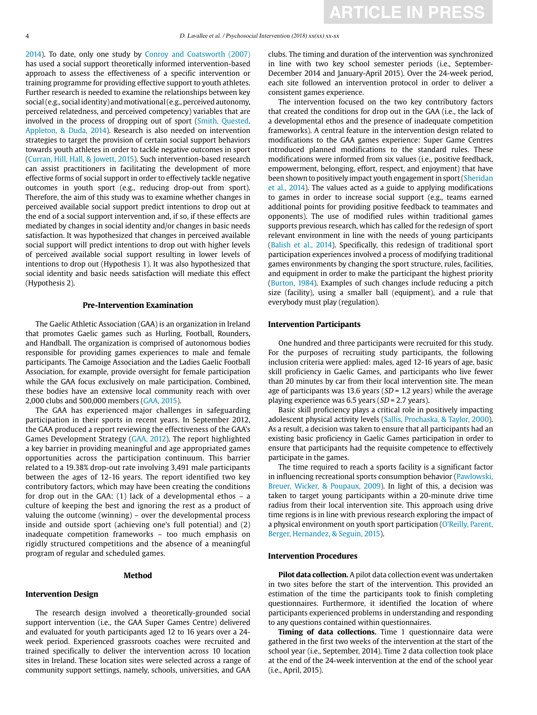[2014\)](#page-5-3). To date, only one study by [Conroy and Coatsworth \(2007\)](#page-5-4) has used a social support theoretically informed intervention-based approach to assess the effectiveness of a specific intervention or training programme for providing effective support to youth athletes. Further research is needed to examine the relationships between key social (e.g., social identity) and motivational (e.g., perceived autonomy, perceived relatedness, and perceived competency) variables that are involved in the process of dropping out of sport [\(Smith, Quested,](#page-6-2)  [Appleton, & Duda, 2014](#page-6-2)). Research is also needed on intervention strategies to target the provision of certain social support behaviors towards youth athletes in order to tackle negative outcomes in sport [\(Curran, Hill, Hall, & Jowett, 2015\)](#page-5-5). Such intervention-based research can assist practitioners in facilitating the development of more effective forms of social support in order to effectively tackle negative outcomes in youth sport (e.g., reducing drop-out from sport). Therefore, the aim of this study was to examine whether changes in perceived available social support predict intentions to drop out at the end of a social support intervention and, if so, if these effects are mediated by changes in social identity and/or changes in basic needs satisfaction. It was hypothesized that changes in perceived available social support will predict intentions to drop out with higher levels of perceived available social support resulting in lower levels of intentions to drop out (Hypothesis 1). It was also hypothesized that social identity and basic needs satisfaction will mediate this effect (Hypothesis 2).

#### **Pre-Intervention Examination**

The Gaelic Athletic Association (GAA) is an organization in Ireland that promotes Gaelic games such as Hurling, Football, Rounders, and Handball. The organization is comprised of autonomous bodies responsible for providing games experiences to male and female participants. The Camoige Association and the Ladies Gaelic Football Association, for example, provide oversight for female participation while the GAA focus exclusively on male participation. Combined, these bodies have an extensive local community reach with over 2,000 clubs and 500,000 members [\(GAA, 2015](#page-5-6)).

The GAA has experienced major challenges in safeguarding participation in their sports in recent years. In September 2012, the GAA produced a report reviewing the effectiveness of the GAA's Games Development Strategy [\(GAA, 2012](#page-5-7)). The report highlighted a key barrier in providing meaningful and age appropriated games opportunities across the participation continuum. This barrier related to a 19.38% drop-out rate involving 3,491 male participants between the ages of 12-16 years. The report identified two key contributory factors, which may have been creating the conditions for drop out in the GAA: (1) lack of a developmental ethos – a culture of keeping the best and ignoring the rest as a product of valuing the outcome (winning) – over the developmental process inside and outside sport (achieving one's full potential) and (2) inadequate competition frameworks – too much emphasis on rigidly structured competitions and the absence of a meaningful program of regular and scheduled games.

#### **Method**

#### **Intervention Design**

The research design involved a theoretically-grounded social support intervention (i.e., the GAA Super Games Centre) delivered and evaluated for youth participants aged 12 to 16 years over a 24 week period. Experienced grassroots coaches were recruited and trained specifically to deliver the intervention across 10 location sites in Ireland. These location sites were selected across a range of community support settings, namely, schools, universities, and GAA clubs. The timing and duration of the intervention was synchronized in line with two key school semester periods (i.e., September-December 2014 and January-April 2015). Over the 24-week period, each site followed an intervention protocol in order to deliver a consistent games experience.

The intervention focused on the two key contributory factors that created the conditions for drop out in the GAA (i.e., the lack of a developmental ethos and the presence of inadequate competition frameworks). A central feature in the intervention design related to modifications to the GAA games experience: Super Game Centres introduced planned modifications to the standard rules. These modifications were informed from six values (i.e., positive feedback, empowerment, belonging, effort, respect, and enjoyment) that have been shown to positively impact youth engagement in sport ([Sheridan](#page-6-1) [et al., 2014](#page-6-1)). The values acted as a guide to applying modifications to games in order to increase social support (e.g., teams earned additional points for providing positive feedback to teammates and opponents). The use of modified rules within traditional games supports previous research, which has called for the redesign of sport relevant environment in line with the needs of young participants ([Balish et al., 2014](#page-5-3)). Specifically, this redesign of traditional sport participation experiences involved a process of modifying traditional games environments by changing the sport structure, rules, facilities, and equipment in order to make the participant the highest priority ([Burton, 1984](#page-5-8)). Examples of such changes include reducing a pitch size (facility), using a smaller ball (equipment), and a rule that everybody must play (regulation).

#### **Intervention Participants**

One hundred and three participants were recruited for this study. For the purposes of recruiting study participants, the following inclusion criteria were applied: males, aged 12-16 years of age, basic skill proficiency in Gaelic Games, and participants who live fewer than 20 minutes by car from their local intervention site. The mean age of participants was 13.6 years ( $SD = 1.2$  years) while the average playing experience was 6.5 years ( $SD = 2.7$  years).

Basic skill proficiency plays a critical role in positively impacting adolescent physical activity levels [\(Sallis, Prochaska, & Taylor, 2000](#page-6-3)). As a result, a decision was taken to ensure that all participants had an existing basic proficiency in Gaelic Games participation in order to ensure that participants had the requisite competence to effectively participate in the games.

The time required to reach a sports facility is a significant factor in influencing recreational sports consumption behavior ([Pawlowski,](#page-6-4) [Breuer, Wicker, & Poupaux, 2009](#page-6-4)). In light of this, a decision was taken to target young participants within a 20-minute drive time radius from their local intervention site. This approach using drive time regions is in line with previous research exploring the impact of a physical environment on youth sport participation ([O'Reilly, Parent,](#page-6-5) [Berger, Hernandez, & Seguin, 2015\)](#page-6-5).

#### **Intervention Procedures**

**Pilot data collection.** A pilot data collection event was undertaken in two sites before the start of the intervention. This provided an estimation of the time the participants took to finish completing questionnaires. Furthermore, it identified the location of where participants experienced problems in understanding and responding to any questions contained within questionnaires.

**Timing of data collections.** Time 1 questionnaire data were gathered in the first two weeks of the intervention at the start of the school year (i.e., September, 2014). Time 2 data collection took place at the end of the 24-week intervention at the end of the school year (i.e., April, 2015).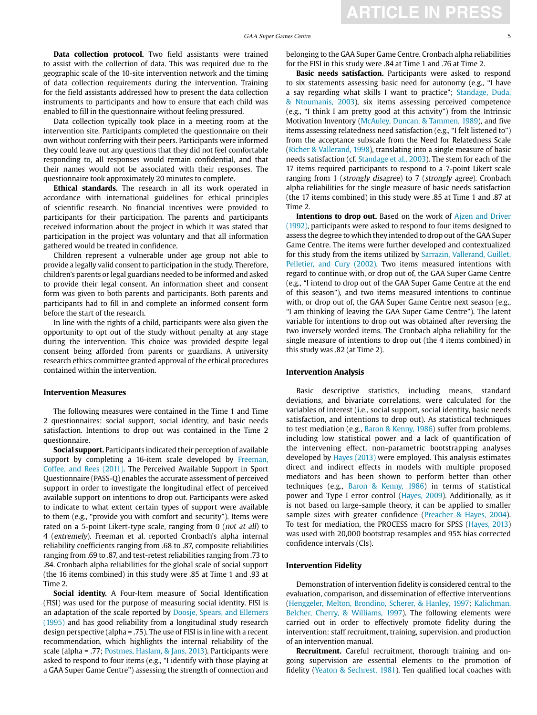**Data collection protocol.** Two field assistants were trained to assist with the collection of data. This was required due to the geographic scale of the 10-site intervention network and the timing of data collection requirements during the intervention. Training for the field assistants addressed how to present the data collection instruments to participants and how to ensure that each child was enabled to fill in the questionnaire without feeling pressured.

Data collection typically took place in a meeting room at the intervention site. Participants completed the questionnaire on their own without conferring with their peers. Participants were informed they could leave out any questions that they did not feel comfortable responding to, all responses would remain confidential, and that their names would not be associated with their responses. The questionnaire took approximately 20 minutes to complete.

**Ethical standards.** The research in all its work operated in accordance with international guidelines for ethical principles of scientific research. No financial incentives were provided to participants for their participation. The parents and participants received information about the project in which it was stated that participation in the project was voluntary and that all information gathered would be treated in confidence.

Children represent a vulnerable under age group not able to provide a legally valid consent to participation in the study. Therefore, children's parents or legal guardians needed to be informed and asked to provide their legal consent. An information sheet and consent form was given to both parents and participants. Both parents and participants had to fill in and complete an informed consent form before the start of the research.

In line with the rights of a child, participants were also given the opportunity to opt out of the study without penalty at any stage during the intervention. This choice was provided despite legal consent being afforded from parents or guardians. A university research ethics committee granted approval of the ethical procedures contained within the intervention.

#### **Intervention Measures**

The following measures were contained in the Time 1 and Time 2 questionnaires: social support, social identity, and basic needs satisfaction. Intentions to drop out was contained in the Time 2 questionnaire.

**Social support.** Participants indicated their perception of available support by completing a 16-item scale developed by [Freeman,](#page-5-9)  [Coffee, and Rees \(2011\).](#page-5-9) The Perceived Available Support in Sport Questionnaire (PASS-Q) enables the accurate assessment of perceived support in order to investigate the longitudinal effect of perceived available support on intentions to drop out. Participants were asked to indicate to what extent certain types of support were available to them (e.g., "provide you with comfort and security"). Items were rated on a 5-point Likert-type scale, ranging from 0 (not at all) to 4 (extremely). Freeman et al. reported Cronbach's alpha internal reliability coefficients ranging from .68 to .87, composite reliabilities ranging from .69 to .87, and test-retest reliabilities ranging from .73 to .84. Cronbach alpha reliabilities for the global scale of social support (the 16 items combined) in this study were .85 at Time 1 and .93 at Time 2.

**Social identity.** A Four-Item measure of Social Identification (FISI) was used for the purpose of measuring social identity. FISI is an adaptation of the scale reported by [Doosje, Spears, and Ellemers](#page-5-10)  [\(1995\)](#page-5-10) and has good reliability from a longitudinal study research design perspective (alpha = .75). The use of FISI is in line with a recent recommendation, which highlights the internal reliability of the scale (alpha = .77; [Postmes, Haslam, & Jans, 2013\)](#page-6-6). Participants were asked to respond to four items (e.g., "I identify with those playing at a GAA Super Game Centre") assessing the strength of connection and

belonging to the GAA Super Game Centre. Cronbach alpha reliabilities for the FISI in this study were .84 at Time 1 and .76 at Time 2.

**Basic needs satisfaction.** Participants were asked to respond to six statements assessing basic need for autonomy (e.g., "I have a say regarding what skills I want to practice"; [Standage, Duda,](#page-6-7)  [& Ntoumanis, 2003](#page-6-7)), six items assessing perceived competence (e.g., "I think I am pretty good at this activity") from the Intrinsic Motivation Inventory [\(McAuley, Duncan, & Tammen, 1989](#page-6-8)), and five items assessing relatedness need satisfaction (e.g., "I felt listened to") from the acceptance subscale from the Need for Relatedness Scale [\(Richer & Vallerand, 1998](#page-6-9)), translating into a single measure of basic needs satisfaction (cf. [Standage et al., 2003](#page-6-7)). The stem for each of the 17 items required participants to respond to a 7-point Likert scale ranging from 1 (strongly disagree) to 7 (strongly agree). Cronbach alpha reliabilities for the single measure of basic needs satisfaction (the 17 items combined) in this study were .85 at Time 1 and .87 at Time 2.

**Intentions to drop out.** Based on the work of Ajzen and Driver [\(1992\)](#page-5-11), participants were asked to respond to four items designed to assess the degree to which they intended to drop out of the GAA Super Game Centre. The items were further developed and contextualized for this study from the items utilized by [Sarrazin, Vallerand, Guillet,](#page-6-10)  [Pelletier, and Cury \(2002\)](#page-6-10). Two items measured intentions with regard to continue with, or drop out of, the GAA Super Game Centre (e.g., "I intend to drop out of the GAA Super Game Centre at the end of this season"), and two items measured intentions to continue with, or drop out of, the GAA Super Game Centre next season (e.g., "I am thinking of leaving the GAA Super Game Centre"). The latent variable for intentions to drop out was obtained after reversing the two inversely worded items. The Cronbach alpha reliability for the single measure of intentions to drop out (the 4 items combined) in this study was .82 (at Time 2).

#### **Intervention Analysis**

Basic descriptive statistics, including means, standard deviations, and bivariate correlations, were calculated for the variables of interest (i.e., social support, social identity, basic needs satisfaction, and intentions to drop out). As statistical techniques to test mediation (e.g., [Baron & Kenny, 1986\)](#page-5-12) suffer from problems, including low statistical power and a lack of quantification of the intervening effect, non-parametric bootstrapping analyses developed by [Hayes \(2013\)](#page-6-11) were employed. This analysis estimates direct and indirect effects in models with multiple proposed mediators and has been shown to perform better than other techniques (e.g., [Baron & Kenny, 1986](#page-5-12)) in terms of statistical power and Type I error control [\(Hayes, 2009\)](#page-6-12). Additionally, as it is not based on large-sample theory, it can be applied to smaller sample sizes with greater confidence ([Preacher & Hayes, 2004](#page-6-13)). To test for mediation, the PROCESS macro for SPSS ([Hayes, 2013](#page-6-11)) was used with 20,000 bootstrap resamples and 95% bias corrected confidence intervals (CIs).

#### **Intervention Fidelity**

Demonstration of intervention fidelity is considered central to the evaluation, comparison, and dissemination of effective interventions [\(Henggeler, Melton, Brondino, Scherer, & Hanley, 1997](#page-6-14); [Kalichman,](#page-6-15)  [Belcher, Cherry, & Williams, 1997](#page-6-15)). The following elements were carried out in order to effectively promote fidelity during the intervention: staff recruitment, training, supervision, and production of an intervention manual.

**Recruitment.** Careful recruitment, thorough training and ongoing supervision are essential elements to the promotion of fidelity [\(Yeaton & Sechrest, 1981\)](#page-6-16). Ten qualified local coaches with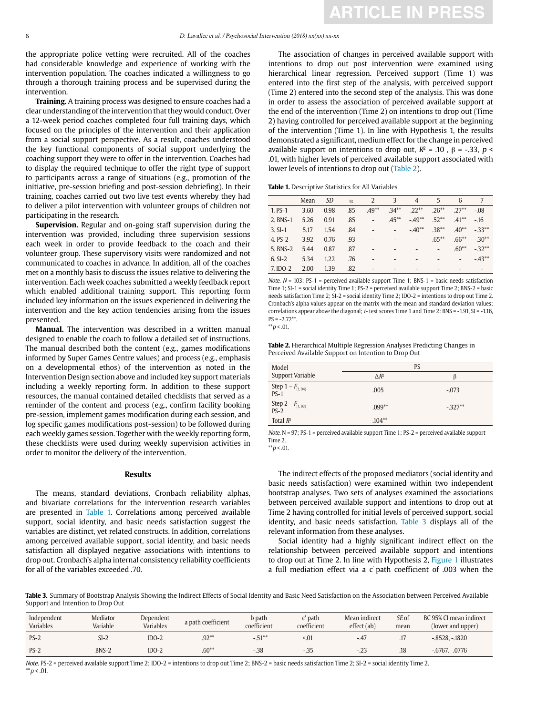the appropriate police vetting were recruited. All of the coaches had considerable knowledge and experience of working with the intervention population. The coaches indicated a willingness to go through a thorough training process and be supervised during the intervention.

**Training.** A training process was designed to ensure coaches had a clear understanding of the intervention that they would conduct. Over a 12-week period coaches completed four full training days, which focused on the principles of the intervention and their application from a social support perspective. As a result, coaches understood the key functional components of social support underlying the coaching support they were to offer in the intervention. Coaches had to display the required technique to offer the right type of support to participants across a range of situations (e.g., promotion of the initiative, pre-session briefing and post-session debriefing). In their training, coaches carried out two live test events whereby they had to deliver a pilot intervention with volunteer groups of children not participating in the research.

**Supervision.** Regular and on-going staff supervision during the intervention was provided, including three supervision sessions each week in order to provide feedback to the coach and their volunteer group. These supervisory visits were randomized and not communicated to coaches in advance. In addition, all of the coaches met on a monthly basis to discuss the issues relative to delivering the intervention. Each week coaches submitted a weekly feedback report which enabled additional training support. This reporting form included key information on the issues experienced in delivering the intervention and the key action tendencies arising from the issues presented.

**Manual.** The intervention was described in a written manual designed to enable the coach to follow a detailed set of instructions. The manual described both the content (e.g., games modifications informed by Super Games Centre values) and process (e.g., emphasis on a developmental ethos) of the intervention as noted in the Intervention Design section above and included key support materials including a weekly reporting form. In addition to these support resources, the manual contained detailed checklists that served as a reminder of the content and process (e.g., confirm facility booking pre-session, implement games modification during each session, and log specific games modifications post-session) to be followed during each weekly games session. Together with the weekly reporting form, these checklists were used during weekly supervision activities in order to monitor the delivery of the intervention.

#### **Results**

The means, standard deviations, Cronbach reliability alphas, and bivariate correlations for the intervention research variables are presented in [Table 1.](#page-3-0) Correlations among perceived available support, social identity, and basic needs satisfaction suggest the variables are distinct, yet related constructs. In addition, correlations among perceived available support, social identity, and basic needs satisfaction all displayed negative associations with intentions to drop out. Cronbach's alpha internal consistency reliability coefficients for all of the variables exceeded .70.

The association of changes in perceived available support with intentions to drop out post intervention were examined using hierarchical linear regression. Perceived support (Time 1) was entered into the first step of the analysis, with perceived support (Time 2) entered into the second step of the analysis. This was done in order to assess the association of perceived available support at the end of the intervention (Time 2) on intentions to drop out (Time 2) having controlled for perceived available support at the beginning of the intervention (Time 1). In line with Hypothesis 1, the results demonstrated a significant, medium effect for the change in perceived available support on intentions to drop out,  $R^2 = .10$ ,  $\beta = -.33$ ,  $p <$ .01, with higher levels of perceived available support associated with lower levels of intentions to drop out ([Table 2\)](#page-3-1).

<span id="page-3-0"></span>**Table 1.** Descriptive Statistics for All Variables

|           | Mean | <i>SD</i> | $\alpha$ | 2                        | 3                        | $\overline{4}$           | 5                        | 6                        | 7                        |
|-----------|------|-----------|----------|--------------------------|--------------------------|--------------------------|--------------------------|--------------------------|--------------------------|
| 1. PS-1   | 3.60 | 0.98      | .85      | $.49**$                  | $34**$                   | $.22***$                 | $.26**$                  | $27**$                   | $-.08$                   |
| 2. BNS-1  | 5.26 | 0.91      | .85      | $\overline{a}$           | $.45***$                 | $-49**$                  | $.52**$                  | $.41***$                 | $-16$                    |
| $3. SI-1$ | 5.17 | 1.54      | .84      | $\qquad \qquad -$        | $\overline{\phantom{a}}$ | $-.40**$                 | $.38**$                  | $.40**$                  | $-33**$                  |
| 4. PS-2   | 3.92 | 0.76      | .93      | $\overline{\phantom{a}}$ | $\overline{\phantom{a}}$ | $\overline{\phantom{a}}$ | $.65***$                 | $.66***$                 | $-30**$                  |
| 5. BNS-2  | 5.44 | 0.87      | .87      | ٠                        | -                        | -                        | $\overline{\phantom{a}}$ | $.60**$                  | $-32**$                  |
| $6. SI-2$ | 5.34 | 1.22      | .76      | ٠                        | -                        | $\overline{\phantom{0}}$ | $\overline{\phantom{0}}$ | $\overline{\phantom{a}}$ | $-43**$                  |
| 7. IDO-2  | 2.00 | 1.39      | .82      | $\overline{\phantom{a}}$ |                          | -                        |                          | -                        | $\overline{\phantom{a}}$ |

Note.  $N = 103$ ; PS-1 = perceived available support Time 1; BNS-1 = basic needs satisfaction Time 1; SI-1 = social identity Time 1; PS-2 = perceived available support Time 2; BNS-2 = basic needs satisfaction Time 2; SI-2 = social identity Time 2; IDO-2 = intentions to drop out Time 2. Cronbach's alpha values appear on the matrix with the mean and standard deviation values; correlations appear above the diagonal; t- test scores Time 1 and Time 2: BNS = -1.91, SI = -1.16,  $PS = -2.72**$ .

 $*$   $p$  < .01.

<span id="page-3-1"></span>**Table 2.** Hierarchical Multiple Regression Analyses Predicting Changes in Perceived Available Support on Intention to Drop Out

| Model                          | PS           |          |  |  |  |
|--------------------------------|--------------|----------|--|--|--|
| Support Variable               | $\Delta R^2$ | β        |  |  |  |
| Step 1 – $F_{(1, 94)}$<br>PS-1 | .005         | $-.073$  |  |  |  |
| Step 2 – $F_{(1,93)}$<br>PS-2  | $.099**$     | $-327**$ |  |  |  |
| Total $R^2$                    | $.104**$     |          |  |  |  |

*Note*.  $N = 97$ ; *PS-1* = perceived available support Time 1; *PS-2* = perceived available support Time 2.

 $*$  $p$  < .01.

The indirect effects of the proposed mediators (social identity and basic needs satisfaction) were examined within two independent bootstrap analyses. Two sets of analyses examined the associations between perceived available support and intentions to drop out at Time 2 having controlled for initial levels of perceived support, social identity, and basic needs satisfaction. [Table 3](#page-3-2) displays all of the relevant information from these analyses.

Social identity had a highly significant indirect effect on the relationship between perceived available support and intentions to drop out at Time 2. In line with Hypothesis 2, [Figure 1](#page-4-0) illustrates a full mediation effect via a c' path coefficient of .003 when the

<span id="page-3-2"></span>**Table 3.** Summary of Bootstrap Analysis Showing the Indirect Effects of Social Identity and Basic Need Satisfaction on the Association between Perceived Available Support and Intention to Drop Out

| Independent<br><b>Variables</b> | Mediator<br>Variable | Dependent<br>Variables | a path coefficient | b path<br>coefficient | $\sim$ path<br>coefficient | Mean indirect<br>effect (ab) | SE of<br>mean | BC 95% CI mean indirect<br>(lower and upper) |
|---------------------------------|----------------------|------------------------|--------------------|-----------------------|----------------------------|------------------------------|---------------|----------------------------------------------|
| $PS-2$                          | $SI-2$               | $IDO-2$                | $.92**$            | $-.51**$              | < 01                       | $-47$                        | .17           | $-.8528. - .1820$                            |
| $PS-2$                          | BNS-2                | $IDO-2$                | $.60**$            | $-38$                 | $-35$                      | $-23$                        | .18           | $-.6767$ . .0776                             |

Note. PS-2 = perceived available support Time 2; IDO-2 = intentions to drop out Time 2; BNS-2 = basic needs satisfaction Time 2; SI-2 = social identity Time 2.  $*$   $p$  < .01.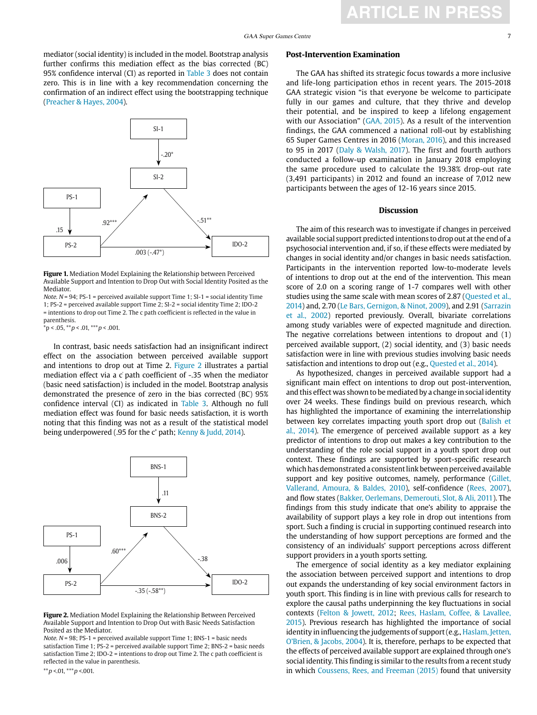

<span id="page-4-0"></span>**Figure 1.** Mediation Model Explaining the Relationship between Perceived Available Support and Intention to Drop Out with Social Identity Posited as the Mediator.

Note.  $N = 94$ ; PS-1 = perceived available support Time 1; SI-1 = social identity Time 1; PS-2 = perceived available support Time 2; SI-2 = social identity Time 2; IDO-2 = intentions to drop out Time 2. The c path coefficient is reflected in the value in parenthesis.

 $*p < .05, **p < .01, **p < .001.$ 

In contrast, basic needs satisfaction had an insignificant indirect effect on the association between perceived available support and intentions to drop out at Time 2. [Figure 2](#page-4-1) illustrates a partial mediation effect via a c' path coefficient of -.35 when the mediator (basic need satisfaction) is included in the model. Bootstrap analysis demonstrated the presence of zero in the bias corrected (BC) 95% confidence interval (CI) as indicated in [Table 3.](#page-3-2) Although no full mediation effect was found for basic needs satisfaction, it is worth noting that this finding was not as a result of the statistical model being underpowered (.95 for the c' path; [Kenny & Judd, 2014](#page-6-17)).



<span id="page-4-1"></span>**Figure 2.** Mediation Model Explaining the Relationship Between Perceived Available Support and Intention to Drop Out with Basic Needs Satisfaction Posited as the Mediator.

Note.  $N = 98$ ; PS-1 = perceived available support Time 1; BNS-1 = basic needs satisfaction Time 1; PS-2 = perceived available support Time 2; BNS-2 = basic needs satisfaction Time 2; IDO-2 = intentions to drop out Time 2. The c path coefficient is reflected in the value in parenthesis.

\*\*p <.01, \*\*\*p <.001.

#### **Post-Intervention Examination**

The GAA has shifted its strategic focus towards a more inclusive and life-long participation ethos in recent years. The 2015-2018 GAA strategic vision "is that everyone be welcome to participate fully in our games and culture, that they thrive and develop their potential, and be inspired to keep a lifelong engagement with our Association" ([GAA, 2015\)](#page-5-6). As a result of the intervention findings, the GAA commenced a national roll-out by establishing 65 Super Games Centres in 2016 [\(Moran, 2016\)](#page-6-18), and this increased to 95 in 2017 [\(Daly & Walsh, 2017\)](#page-5-13). The first and fourth authors conducted a follow-up examination in January 2018 employing the same procedure used to calculate the 19.38% drop-out rate (3,491 participants) in 2012 and found an increase of 7,012 new participants between the ages of 12-16 years since 2015.

**ARTICLE IN PRES** 

#### **Discussion**

The aim of this research was to investigate if changes in perceived available social support predicted intentions to drop out at the end of a psychosocial intervention and, if so, if these effects were mediated by changes in social identity and/or changes in basic needs satisfaction. Participants in the intervention reported low-to-moderate levels of intentions to drop out at the end of the intervention. This mean score of 2.0 on a scoring range of 1-7 compares well with other studies using the same scale with mean scores of 2.87 [\(Quested et al.,](#page-6-19)  [2014\)](#page-6-19) and, 2.70 ([Le Bars, Gernigon, & Ninot, 2009\)](#page-6-20), and 2.91 [\(Sarrazin](#page-6-10)  [et al., 2002\)](#page-6-10) reported previously. Overall, bivariate correlations among study variables were of expected magnitude and direction. The negative correlations between intentions to dropout and (1) perceived available support, (2) social identity, and (3) basic needs satisfaction were in line with previous studies involving basic needs satisfaction and intentions to drop out (e.g., [Quested et al., 2014](#page-6-19)).

As hypothesized, changes in perceived available support had a significant main effect on intentions to drop out post-intervention, and this effect was shown to be mediated by a change in social identity over 24 weeks. These findings build on previous research, which has highlighted the importance of examining the interrelationship between key correlates impacting youth sport drop out [\(Balish et](#page-5-3)  [al., 2014\)](#page-5-3). The emergence of perceived available support as a key predictor of intentions to drop out makes a key contribution to the understanding of the role social support in a youth sport drop out context. These findings are supported by sport-specific research which has demonstrated a consistent link between perceived available support and key positive outcomes, namely, performance (Gillet, [Vallerand, Amoura, & Baldes, 2010\)](#page-5-14), self-confidence [\(Rees, 2007](#page-6-21)), and flow states ([Bakker, Oerlemans, Demerouti, Slot, & Ali, 2011\)](#page-5-15). The findings from this study indicate that one's ability to appraise the availability of support plays a key role in drop out intentions from sport. Such a finding is crucial in supporting continued research into the understanding of how support perceptions are formed and the consistency of an individuals' support perceptions across different support providers in a youth sports setting.

The emergence of social identity as a key mediator explaining the association between perceived support and intentions to drop out expands the understanding of key social environment factors in youth sport. This finding is in line with previous calls for research to explore the causal paths underpinning the key fluctuations in social contexts ([Felton & Jowett, 2012;](#page-5-16) [Rees, Haslam, Coffee, & Lavallee,](#page-6-22)  [2015](#page-6-22)). Previous research has highlighted the importance of social identity in influencing the judgements of support (e.g., [Haslam, Jetten,](#page-6-23)  [O'Brien, & Jacobs, 2004](#page-6-23)). It is, therefore, perhaps to be expected that the effects of perceived available support are explained through one's social identity. This finding is similar to the results from a recent study in which [Coussens, Rees, and Freeman \(2015\) f](#page-5-17)ound that university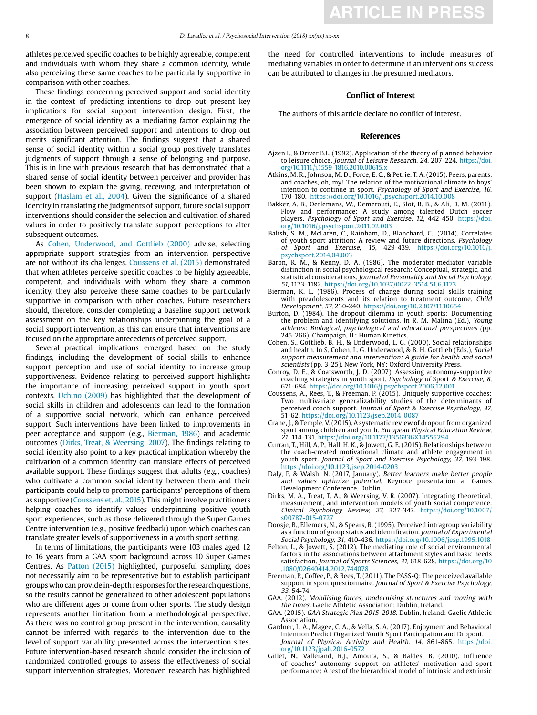athletes perceived specific coaches to be highly agreeable, competent and individuals with whom they share a common identity, while also perceiving these same coaches to be particularly supportive in comparison with other coaches.

These findings concerning perceived support and social identity in the context of predicting intentions to drop out present key implications for social support intervention design. First, the emergence of social identity as a mediating factor explaining the association between perceived support and intentions to drop out merits significant attention. The findings suggest that a shared sense of social identity within a social group positively translates judgments of support through a sense of belonging and purpose. This is in line with previous research that has demonstrated that a shared sense of social identity between perceiver and provider has been shown to explain the giving, receiving, and interpretation of support ([Haslam et al., 2004](#page-6-23)). Given the significance of a shared identity in translating the judgments of support, future social support interventions should consider the selection and cultivation of shared values in order to positively translate support perceptions to alter subsequent outcomes.

As [Cohen, Underwood, and Gottlieb \(2000\)](#page-5-18) advise, selecting appropriate support strategies from an intervention perspective are not without its challenges. [Coussens et al. \(2015\)](#page-5-17) demonstrated that when athletes perceive specific coaches to be highly agreeable, competent, and individuals with whom they share a common identity, they also perceive these same coaches to be particularly supportive in comparison with other coaches. Future researchers should, therefore, consider completing a baseline support network assessment on the key relationships underpinning the goal of a social support intervention, as this can ensure that interventions are focused on the appropriate antecedents of perceived support.

Several practical implications emerged based on the study findings, including the development of social skills to enhance support perception and use of social identity to increase group supportiveness. Evidence relating to perceived support highlights the importance of increasing perceived support in youth sport contexts. [Uchino \(2009\) h](#page-6-24)as highlighted that the development of social skills in children and adolescents can lead to the formation of a supportive social network, which can enhance perceived support. Such interventions have been linked to improvements in peer acceptance and support (e.g., [Bierman, 1986\)](#page-5-19) and academic outcomes ([Dirks, Treat, & Weersing, 2007](#page-5-20)). The findings relating to social identity also point to a key practical implication whereby the cultivation of a common identity can translate effects of perceived available support. These findings suggest that adults (e.g., coaches) who cultivate a common social identity between them and their participants could help to promote participants' perceptions of them as supportive [\(Coussens et. al., 2015](#page-5-17)). This might involve practitioners helping coaches to identify values underpinning positive youth sport experiences, such as those delivered through the Super Games Centre intervention (e.g., positive feedback) upon which coaches can translate greater levels of supportiveness in a youth sport setting.

In terms of limitations, the participants were 103 males aged 12 to 16 years from a GAA sport background across 10 Super Games Centres. As [Patton \(2015\) h](#page-6-25)ighlighted, purposeful sampling does not necessarily aim to be representative but to establish participant groups who can provide in-depth responses for the research questions, so the results cannot be generalized to other adolescent populations who are different ages or come from other sports. The study design represents another limitation from a methodological perspective. As there was no control group present in the intervention, causality cannot be inferred with regards to the intervention due to the level of support variability presented across the intervention sites. Future intervention-based research should consider the inclusion of randomized controlled groups to assess the effectiveness of social support intervention strategies. Moreover, research has highlighted the need for controlled interventions to include measures of mediating variables in order to determine if an interventions success can be attributed to changes in the presumed mediators.

#### **Conflict of Interest**

The authors of this article declare no conflict of interest.

#### **References**

- <span id="page-5-11"></span>Ajzen I., & Driver B.L. (1992). Application of the theory of planned behavior to leisure choice. Journal of Leisure Research, 24, 207-224. [https://doi.](https://doi.org/10.1111/j.1559-1816.2010.00615.x) [org/10.1111/j.1559-1816.2010.00615.x](https://doi.org/10.1111/j.1559-1816.2010.00615.x)
- <span id="page-5-1"></span>Atkins, M. R., Johnson, M. D., Force, E. C., & Petrie, T. A. (2015). Peers, parents, and coaches, oh, my! The relation of the motivational climate to boys' intention to continue in sport. Psychology of Sport and Exercise, 16, 170-180. https://doi.org/10.1016/j.psychsport.2014.10.008
- <span id="page-5-15"></span>Bakker, A. B., Oerlemans, W., Demerouti, E., Slot, B. B., & Ali, D. M. (2011). Flow and performance: A study among talented Dutch soccer players. Psychology of Sport and Exercise, 12, 442-450. [https://doi.](https://doi.org/10.1016/j.psychsport.2011.02.003) [org/10.1016/j.psychsport.2011.02.003](https://doi.org/10.1016/j.psychsport.2011.02.003)
- <span id="page-5-3"></span>Balish, S. M., McLaren, C., Rainham, D., Blanchard, C., (2014). Correlates of youth sport attrition: A review and future directions. Psychology of Sport and Exercise, 15, 429-439. [https://doi.org/10.1016/j.](https://doi.org/10.1016/j.psychsport.2014.04.003) [psychsport.2014.04.003](https://doi.org/10.1016/j.psychsport.2014.04.003)
- <span id="page-5-12"></span>Baron, R. M., & Kenny, D. A. (1986). The moderator-mediator variable distinction in social psychological research: Conceptual, strategic, and statistical considerations. Journal of Personality and Social Psychology, 51, 1173-1182. <https://doi.org/10.1037/0022-3514.51.6.1173>
- <span id="page-5-19"></span>Bierman, K. L. (1986). Process of change during social skills training with preadolescents and its relation to treatment outcome. Child Development, 57, 230-240.<https://doi.org/10.2307/1130654>
- <span id="page-5-8"></span>Burton, D. (1984). The dropout dilemma in youth sports: Documenting the problem and identifying solutions. In R. M. Malina (Ed.), Young athletes: Biological, psychological and educational perspectives (pp. 245-266). Champaign, IL: Human Kinetics.
- <span id="page-5-18"></span>Cohen, S., Gottlieb, B. H., & Underwood, L. G. (2000). Social relationships and health. In S. Cohen, L. G. Underwood, & B. H. Gottlieb (Eds.), Social support measurement and intervention: A guide for health and social scientists (pp. 3-25). New York, NY: Oxford University Press.
- <span id="page-5-4"></span>Conroy, D. E., & Coatsworth, J. D. (2007). Assessing autonomy-supportive coaching strategies in youth sport. Psychology of [Sport](http://www.apple.es) & Exercise, 8, 671-684. https://doi.org/10.1016/j.psychsport.2006.12.001
- <span id="page-5-17"></span>Coussens, A., Rees, T., & Freeman, P. (2015). Uniquely supportive coaches: Two multivariate generalizability studies of the determinants of perceived coach support. Journal of Sport & Exercise Psychology, 37, 51-62. <https://doi.org/10.1123/jsep.2014-0087>
- <span id="page-5-2"></span>Crane, J., & Temple, V. (2015). A systematic review of dropout from organized sport among children and youth. European Physical Education Review, 21, 114-131. <https://doi.org/10.1177/1356336X14555294>
- <span id="page-5-5"></span>Curran, T., Hill, A. P., Hall, H. K., & Jowett, G. E. (2015). Relationships between the coach-created motivational climate and athlete engagement in youth sport. Journal of Sport and Exercise Psychology, 37, 193-198. https://doi.org/10.1123/jsep.2014-0203
- <span id="page-5-13"></span>Daly, P. & Walsh, N. (2017, January). Better learners make better people and values optimize potential. Keynote presentation at Games Development Conference. Dublin.
- <span id="page-5-20"></span>Dirks, M. A., Treat, T. A., & Weersing, V. R. (2007). Integrating theoretical, measurement, and intervention models of youth social competence. Clinical Psychology Review, 27, 327-347. [https://doi.org/10.1007/](https://doi.org/10.1007/s00787-015-0727) [s00787-015-0727](https://doi.org/10.1007/s00787-015-0727)
- <span id="page-5-10"></span>Doosje, B., Ellemers, N., & Spears, R. (1995). Perceived intragroup variability as a function of group status and identification. Journal of Experimental Social Psychology, 31, 410-436. <https://doi.org/10.1006/jesp.1995.1018>
- <span id="page-5-16"></span>Felton, L., & Jowett, S. (2012). The mediating role of social environmental factors in the associations between attachment styles and basic needs satisfaction. Journal of Sports Sciences, 31, 618-628. [https://doi.org/10](https://doi.org/10.1080/02640414.2012.744078) [.1080/02640414.2012.744078](https://doi.org/10.1080/02640414.2012.744078)
- <span id="page-5-9"></span>Freeman, P., Coffee, P., & Rees, T. (2011). The PASS-Q: The perceived available support in sport questionnaire. Journal of Sport & Exercise Psychology, 33, 54-74.
- <span id="page-5-7"></span>GAA. (2012). Mobilising forces, modernising structures and moving with the times. Gaelic Athletic Association: Dublin, Ireland.
- <span id="page-5-6"></span>GAA. (2015). GAA Strategic Plan 2015-2018. Dublin, Ireland: Gaelic Athletic Association.
- <span id="page-5-0"></span>Gardner, L. A., Magee, C. A., & Vella, S. A. (2017). Enjoyment and Behavioral Intention Predict Organized Youth Sport Participation and Dropout. Journal of Physical Activity and Health, 14, 861-865. [https://doi.](https://doi.org/10.1123/jpah.2016-0572) [org/10.1123/jpah.2016-0572](https://doi.org/10.1123/jpah.2016-0572)
- <span id="page-5-14"></span>Gillet, N., Vallerand, R.J., Amoura, S., & Baldes, B. (2010). Influence of coaches' autonomy support on athletes' motivation and sport performance: A test of the hierarchical model of intrinsic and extrinsic